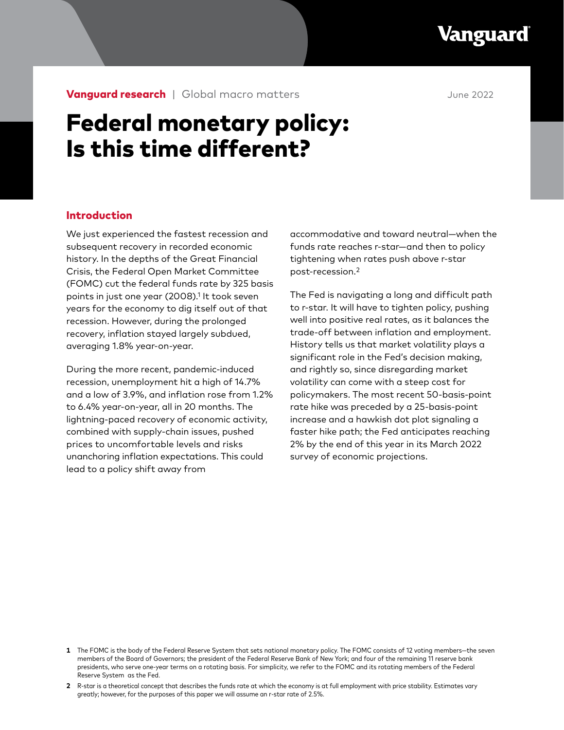Vanguard

**Vanguard research** | Global macro matters **June 2022** 

# Federal monetary policy: Is this time different?

# Introduction

We just experienced the fastest recession and subsequent recovery in recorded economic history. In the depths of the Great Financial Crisis, the Federal Open Market Committee (FOMC) cut the federal funds rate by 325 basis points in just one year (2008).1 It took seven years for the economy to dig itself out of that recession. However, during the prolonged recovery, inflation stayed largely subdued, averaging 1.8% year-on-year.

During the more recent, pandemic-induced recession, unemployment hit a high of 14.7% and a low of 3.9%, and inflation rose from 1.2% to 6.4% year-on-year, all in 20 months. The lightning-paced recovery of economic activity, combined with supply-chain issues, pushed prices to uncomfortable levels and risks unanchoring inflation expectations. This could lead to a policy shift away from

accommodative and toward neutral—when the funds rate reaches r-star—and then to policy tightening when rates push above r-star post-recession.2

The Fed is navigating a long and difficult path to r-star. It will have to tighten policy, pushing well into positive real rates, as it balances the trade-off between inflation and employment. History tells us that market volatility plays a significant role in the Fed's decision making, and rightly so, since disregarding market volatility can come with a steep cost for policymakers. The most recent 50-basis-point rate hike was preceded by a 25-basis-point increase and a hawkish dot plot signaling a faster hike path; the Fed anticipates reaching 2% by the end of this year in its March 2022 survey of economic projections.

**<sup>1</sup>** The FOMC is the body of the Federal Reserve System that sets national monetary policy. The FOMC consists of 12 voting members—the seven members of the Board of Governors; the president of the Federal Reserve Bank of New York; and four of the remaining 11 reserve bank presidents, who serve one-year terms on a rotating basis. For simplicity, we refer to the FOMC and its rotating members of the Federal Reserve System as the Fed.

**<sup>2</sup>** R-star is a theoretical concept that describes the funds rate at which the economy is at full employment with price stability. Estimates vary greatly; however, for the purposes of this paper we will assume an r-star rate of 2.5%.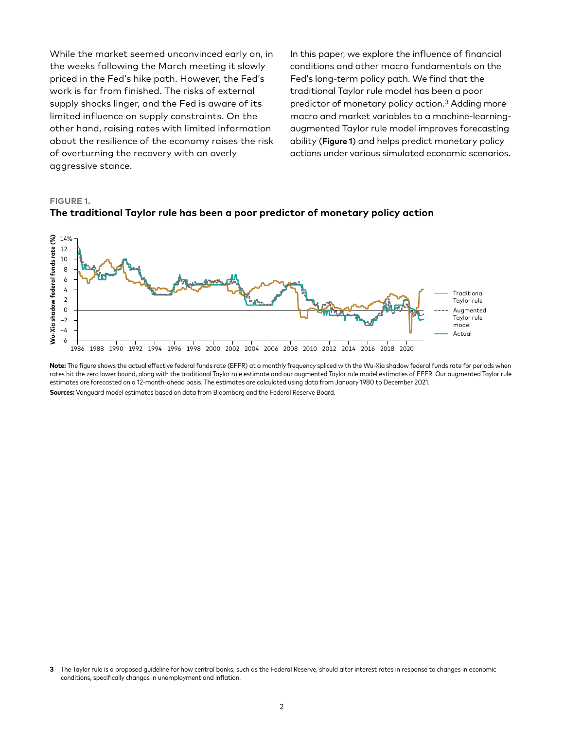While the market seemed unconvinced early on, in the weeks following the March meeting it slowly priced in the Fed's hike path. However, the Fed's work is far from finished. The risks of external supply shocks linger, and the Fed is aware of its limited influence on supply constraints. On the other hand, raising rates with limited information about the resilience of the economy raises the risk of overturning the recovery with an overly aggressive stance.

In this paper, we explore the influence of financial conditions and other macro fundamentals on the Fed's long-term policy path. We find that the traditional Taylor rule model has been a poor predictor of monetary policy action.3 Adding more macro and market variables to a machine-learningaugmented Taylor rule model improves forecasting ability (**Figure 1**) and helps predict monetary policy actions under various simulated economic scenarios.

#### **FIGURE 1.**



# **The traditional Taylor rule has been a poor predictor of monetary policy action**

**Note:** The figure shows the actual effective federal funds rate (EFFR) at a monthly frequency spliced with the Wu-Xia shadow federal funds rate for periods when rates hit the zero lower bound, along with the traditional Taylor rule estimate and our augmented Taylor rule model estimates of EFFR. Our augmented Taylor rule estimates are forecasted on a 12-month-ahead basis. The estimates are calculated using data from January 1980 to December 2021. **Sources:** Vanguard model estimates based on data from Bloomberg and the Federal Reserve Board.

**<sup>3</sup>** The Taylor rule is a proposed guideline for how central banks, such as the Federal Reserve, should alter interest rates in response to changes in economic conditions, specifically changes in unemployment and inflation.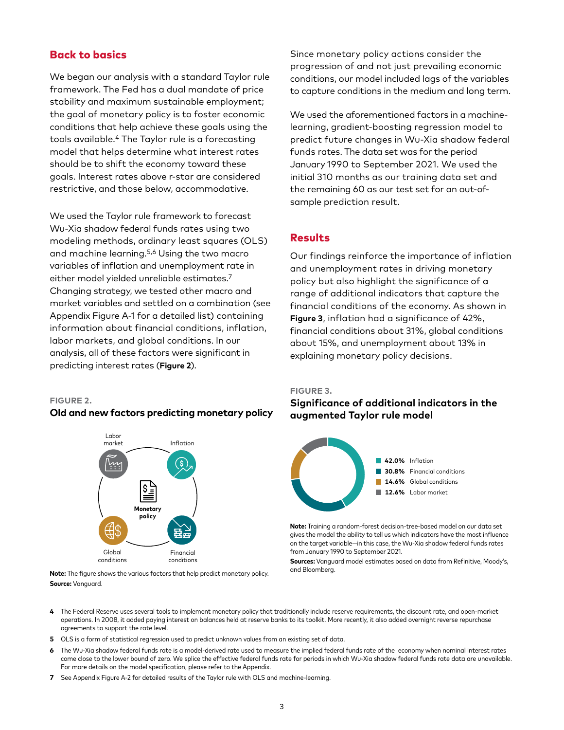# Back to basics

We began our analysis with a standard Taylor rule framework. The Fed has a dual mandate of price stability and maximum sustainable employment; the goal of monetary policy is to foster economic conditions that help achieve these goals using the tools available.4 The Taylor rule is a forecasting model that helps determine what interest rates should be to shift the economy toward these goals. Interest rates above r-star are considered restrictive, and those below, accommodative.

We used the Taylor rule framework to forecast Wu-Xia shadow federal funds rates using two modeling methods, ordinary least squares (OLS) and machine learning.5,6 Using the two macro variables of inflation and unemployment rate in either model yielded unreliable estimates.7 Changing strategy, we tested other macro and market variables and settled on a combination (see Appendix Figure A-1 for a detailed list) containing information about financial conditions, inflation, labor markets, and global conditions. In our analysis, all of these factors were significant in predicting interest rates (**Figure 2**).

#### **FIGURE 2.**

#### **Old and new factors predicting monetary policy**



**Note:** The figure shows the various factors that help predict monetary policy. **Source:** Vanguard.

Since monetary policy actions consider the progression of and not just prevailing economic conditions, our model included lags of the variables to capture conditions in the medium and long term.

We used the aforementioned factors in a machinelearning, gradient-boosting regression model to predict future changes in Wu-Xia shadow federal funds rates. The data set was for the period January 1990 to September 2021. We used the initial 310 months as our training data set and the remaining 60 as our test set for an out-ofsample prediction result.

# Results

Our findings reinforce the importance of inflation and unemployment rates in driving monetary policy but also highlight the significance of a range of additional indicators that capture the financial conditions of the economy. As shown in **Figure 3**, inflation had a significance of 42%, financial conditions about 31%, global conditions about 15%, and unemployment about 13% in explaining monetary policy decisions.

#### **FIGURE 3.**

# **Significance of additional indicators in the augmented Taylor rule model**



**Note:** Training a random-forest decision-tree-based model on our data set gives the model the ability to tell us which indicators have the most influence on the target variable—in this case, the Wu-Xia shadow federal funds rates from January 1990 to September 2021.

**Sources:** Vanguard model estimates based on data from Refinitive, Moody's, and Bloomberg.

- **4** The Federal Reserve uses several tools to implement monetary policy that traditionally include reserve requirements, the discount rate, and open-market operations. In 2008, it added paying interest on balances held at reserve banks to its toolkit. More recently, it also added overnight reverse repurchase agreements to support the rate level.
- **5** OLS is a form of statistical regression used to predict unknown values from an existing set of data.
- **6** The Wu-Xia shadow federal funds rate is a model-derived rate used to measure the implied federal funds rate of the economy when nominal interest rates come close to the lower bound of zero. We splice the effective federal funds rate for periods in which Wu-Xia shadow federal funds rate data are unavailable. For more details on the model specification, please refer to the Appendix.
- **7** See Appendix Figure A-2 for detailed results of the Taylor rule with OLS and machine-learning.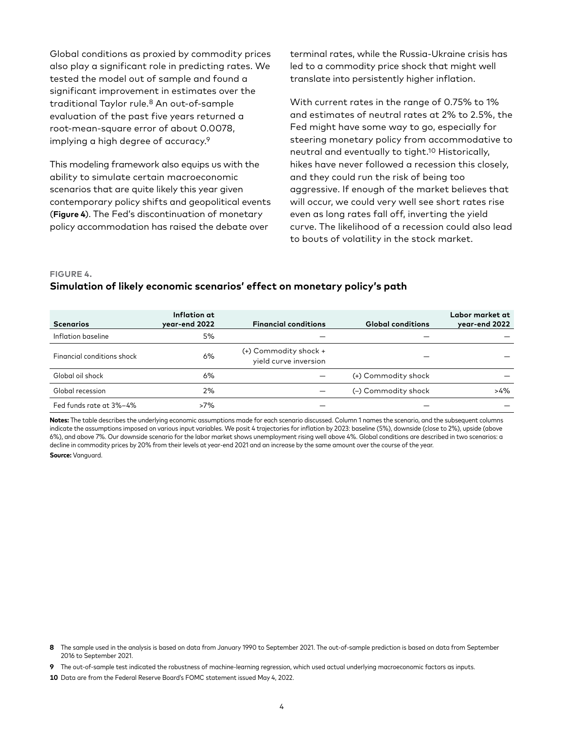Global conditions as proxied by commodity prices also play a significant role in predicting rates. We tested the model out of sample and found a significant improvement in estimates over the traditional Taylor rule.8 An out-of-sample evaluation of the past five years returned a root-mean-square error of about 0.0078, implying a high degree of accuracy.9

This modeling framework also equips us with the ability to simulate certain macroeconomic scenarios that are quite likely this year given contemporary policy shifts and geopolitical events (**Figure 4**). The Fed's discontinuation of monetary policy accommodation has raised the debate over

terminal rates, while the Russia-Ukraine crisis has led to a commodity price shock that might well translate into persistently higher inflation.

With current rates in the range of 0.75% to 1% and estimates of neutral rates at 2% to 2.5%, the Fed might have some way to go, especially for steering monetary policy from accommodative to neutral and eventually to tight.10 Historically, hikes have never followed a recession this closely, and they could run the risk of being too aggressive. If enough of the market believes that will occur, we could very well see short rates rise even as long rates fall off, inverting the yield curve. The likelihood of a recession could also lead to bouts of volatility in the stock market.

#### **FIGURE 4.**

## **Simulation of likely economic scenarios' effect on monetary policy's path**

| <b>Scenarios</b>           | Inflation at<br>year-end 2022 | <b>Financial conditions</b>                    | <b>Global conditions</b> | Labor market at<br>year-end 2022 |
|----------------------------|-------------------------------|------------------------------------------------|--------------------------|----------------------------------|
| Inflation baseline         | 5%                            |                                                |                          |                                  |
| Financial conditions shock | 6%                            | (+) Commodity shock +<br>yield curve inversion |                          |                                  |
| Global oil shock           | 6%                            |                                                | (+) Commodity shock      |                                  |
| Global recession           | 2%                            |                                                | (-) Commodity shock      | $>4\%$                           |
| Fed funds rate at 3%-4%    | $>7\%$                        |                                                |                          |                                  |

**Notes:** The table describes the underlying economic assumptions made for each scenario discussed. Column 1 names the scenario, and the subsequent columns indicate the assumptions imposed on various input variables. We posit 4 trajectories for inflation by 2023: baseline (5%), downside (close to 2%), upside (above 6%), and above 7%. Our downside scenario for the labor market shows unemployment rising well above 4%. Global conditions are described in two scenarios: a decline in commodity prices by 20% from their levels at year-end 2021 and an increase by the same amount over the course of the year. **Source:** Vanguard.

- **8** The sample used in the analysis is based on data from January 1990 to September 2021. The out-of-sample prediction is based on data from September 2016 to September 2021.
- **9** The out-of-sample test indicated the robustness of machine-learning regression, which used actual underlying macroeconomic factors as inputs.
- **10** Data are from the Federal Reserve Board's FOMC statement issued May 4, 2022.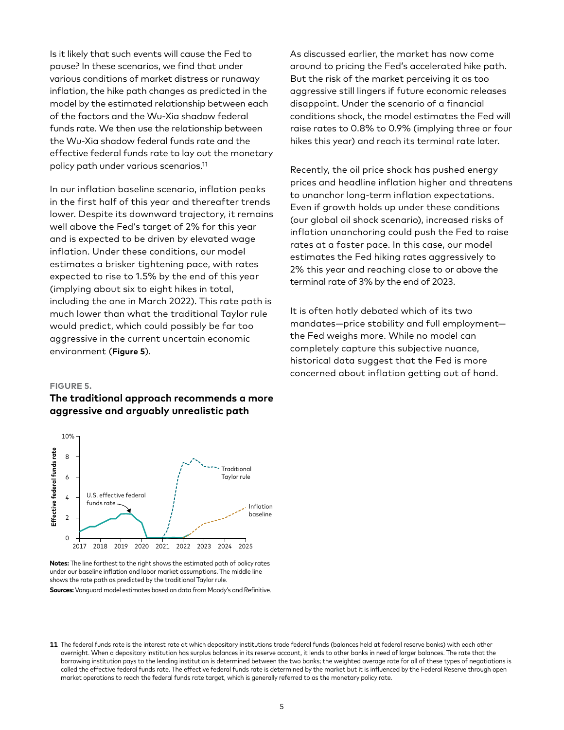Is it likely that such events will cause the Fed to pause? In these scenarios, we find that under various conditions of market distress or runaway inflation, the hike path changes as predicted in the model by the estimated relationship between each of the factors and the Wu-Xia shadow federal funds rate. We then use the relationship between the Wu-Xia shadow federal funds rate and the effective federal funds rate to lay out the monetary policy path under various scenarios.11

In our inflation baseline scenario, inflation peaks in the first half of this year and thereafter trends lower. Despite its downward trajectory, it remains well above the Fed's target of 2% for this year and is expected to be driven by elevated wage inflation. Under these conditions, our model estimates a brisker tightening pace, with rates expected to rise to 1.5% by the end of this year (implying about six to eight hikes in total, including the one in March 2022). This rate path is much lower than what the traditional Taylor rule would predict, which could possibly be far too aggressive in the current uncertain economic environment (**Figure 5**).

As discussed earlier, the market has now come around to pricing the Fed's accelerated hike path. But the risk of the market perceiving it as too aggressive still lingers if future economic releases disappoint. Under the scenario of a financial conditions shock, the model estimates the Fed will raise rates to 0.8% to 0.9% (implying three or four hikes this year) and reach its terminal rate later.

Recently, the oil price shock has pushed energy prices and headline inflation higher and threatens to unanchor long-term inflation expectations. Even if growth holds up under these conditions (our global oil shock scenario), increased risks of inflation unanchoring could push the Fed to raise rates at a faster pace. In this case, our model estimates the Fed hiking rates aggressively to 2% this year and reaching close to or above the terminal rate of 3% by the end of 2023.

It is often hotly debated which of its two mandates—price stability and full employment the Fed weighs more. While no model can completely capture this subjective nuance, historical data suggest that the Fed is more concerned about inflation getting out of hand.

#### **FIGURE 5.**

# **The traditional approach recommends a more aggressive and arguably unrealistic path**



**Notes:** The line farthest to the right shows the estimated path of policy rates under our baseline inflation and labor market assumptions. The middle line shows the rate path as predicted by the traditional Taylor rule. **Sources:** Vanguard model estimates based on data from Moody's and Refinitive.

**<sup>11</sup>** The federal funds rate is the interest rate at which depository institutions trade federal funds (balances held at federal reserve banks) with each other overnight. When a depository institution has surplus balances in its reserve account, it lends to other banks in need of larger balances. The rate that the borrowing institution pays to the lending institution is determined between the two banks; the weighted average rate for all of these types of negotiations is called the effective federal funds rate. The effective federal funds rate is determined by the market but it is influenced by the Federal Reserve through open market operations to reach the federal funds rate target, which is generally referred to as the monetary policy rate.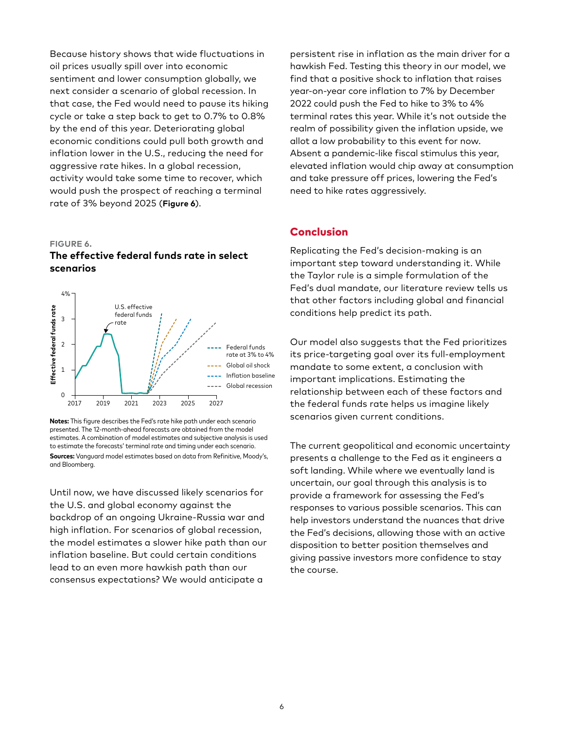Because history shows that wide fluctuations in oil prices usually spill over into economic sentiment and lower consumption globally, we next consider a scenario of global recession. In that case, the Fed would need to pause its hiking cycle or take a step back to get to 0.7% to 0.8% by the end of this year. Deteriorating global economic conditions could pull both growth and inflation lower in the U.S., reducing the need for aggressive rate hikes. In a global recession, activity would take some time to recover, which would push the prospect of reaching a terminal rate of 3% beyond 2025 (**Figure 6**).

#### **FIGURE 6.**

# **The effective federal funds rate in select scenarios**



**Notes:** This figure describes the Fed's rate hike path under each scenario presented. The 12-month-ahead forecasts are obtained from the model estimates. A combination of model estimates and subjective analysis is used to estimate the forecasts' terminal rate and timing under each scenario. **Sources:** Vanguard model estimates based on data from Refinitive, Moody's, and Bloomberg.

Until now, we have discussed likely scenarios for the U.S. and global economy against the backdrop of an ongoing Ukraine-Russia war and high inflation. For scenarios of global recession, the model estimates a slower hike path than our inflation baseline. But could certain conditions lead to an even more hawkish path than our consensus expectations? We would anticipate a

persistent rise in inflation as the main driver for a hawkish Fed. Testing this theory in our model, we find that a positive shock to inflation that raises year-on-year core inflation to 7% by December 2022 could push the Fed to hike to 3% to 4% terminal rates this year. While it's not outside the realm of possibility given the inflation upside, we allot a low probability to this event for now. Absent a pandemic-like fiscal stimulus this year, elevated inflation would chip away at consumption and take pressure off prices, lowering the Fed's need to hike rates aggressively.

# Conclusion

Replicating the Fed's decision-making is an important step toward understanding it. While the Taylor rule is a simple formulation of the Fed's dual mandate, our literature review tells us that other factors including global and financial conditions help predict its path.

Our model also suggests that the Fed prioritizes its price-targeting goal over its full-employment mandate to some extent, a conclusion with important implications. Estimating the relationship between each of these factors and the federal funds rate helps us imagine likely scenarios given current conditions.

The current geopolitical and economic uncertainty presents a challenge to the Fed as it engineers a soft landing. While where we eventually land is uncertain, our goal through this analysis is to provide a framework for assessing the Fed's responses to various possible scenarios. This can help investors understand the nuances that drive the Fed's decisions, allowing those with an active disposition to better position themselves and giving passive investors more confidence to stay the course.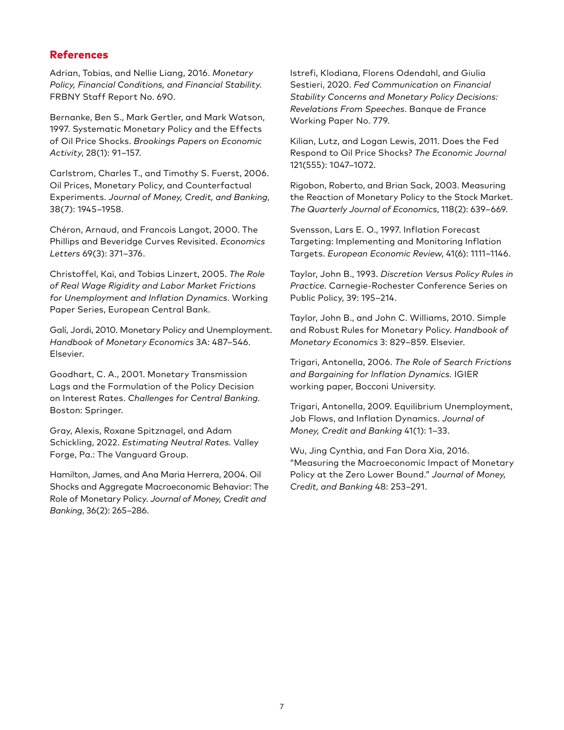# References

Adrian, Tobias, and Nellie Liang, 2016. *Monetary Policy, Financial Conditions, and Financial Stability.* FRBNY Staff Report No. 690.

Bernanke, Ben S., Mark Gertler, and Mark Watson, 1997. Systematic Monetary Policy and the Effects of Oil Price Shocks. *Brookings Papers on Economic Activity*, 28(1): 91‒157.

Carlstrom, Charles T., and Timothy S. Fuerst, 2006. Oil Prices, Monetary Policy, and Counterfactual Experiments. *Journal of Money, Credit, and Banking*, 38(7): 1945‒1958.

Chéron, Arnaud, and Francois Langot, 2000. The Phillips and Beveridge Curves Revisited. *Economics Letters* 69(3): 371‒376.

Christoffel, Kai, and Tobias Linzert, 2005. *The Role of Real Wage Rigidity and Labor Market Frictions for Unemployment and Inflation Dynamics*. Working Paper Series, European Central Bank.

Galí, Jordi, 2010. Monetary Policy and Unemployment. *Handbook of Monetary Economics* 3A: 487‒546. Elsevier.

Goodhart, C. A., 2001. Monetary Transmission Lags and the Formulation of the Policy Decision on Interest Rates. *Challenges for Central Banking.* Boston: Springer.

Gray, Alexis, Roxane Spitznagel, and Adam Schickling, 2022. *Estimating Neutral Rates.* Valley Forge, Pa.: The Vanguard Group.

Hamilton, James, and Ana Maria Herrera, 2004. Oil Shocks and Aggregate Macroeconomic Behavior: The Role of Monetary Policy. *Journal of Money, Credit and Banking*, 36(2): 265‒286.

Istrefi, Klodiana, Florens Odendahl, and Giulia Sestieri, 2020. *Fed Communication on Financial Stability Concerns and Monetary Policy Decisions: Revelations From Speeches*. Banque de France Working Paper No. 779.

Kilian, Lutz, and Logan Lewis, 2011. Does the Fed Respond to Oil Price Shocks? *The Economic Journal* 121(555): 1047‒1072.

Rigobon, Roberto, and Brian Sack, 2003. Measuring the Reaction of Monetary Policy to the Stock Market. *The Quarterly Journal of Economics*, 118(2): 639‒669.

Svensson, Lars E. O., 1997. Inflation Forecast Targeting: Implementing and Monitoring Inflation Targets. *European Economic Review*, 41(6): 1111-1146.

Taylor, John B., 1993. *Discretion Versus Policy Rules in Practice.* Carnegie-Rochester Conference Series on Public Policy, 39: 195-214.

Taylor, John B., and John C. Williams, 2010. Simple and Robust Rules for Monetary Policy. *Handbook of Monetary Economics* 3: 829‒859. Elsevier.

Trigari, Antonella, 2006. *The Role of Search Frictions and Bargaining for Inflation Dynamics.* IGIER working paper, Bocconi University.

Trigari, Antonella, 2009. Equilibrium Unemployment, Job Flows, and Inflation Dynamics. *Journal of Money, Credit and Banking* 41(1): 1‒33.

Wu, Jing Cynthia, and Fan Dora Xia, 2016. "Measuring the Macroeconomic Impact of Monetary Policy at the Zero Lower Bound." *Journal of Money, Credit, and Banking* 48: 253–291.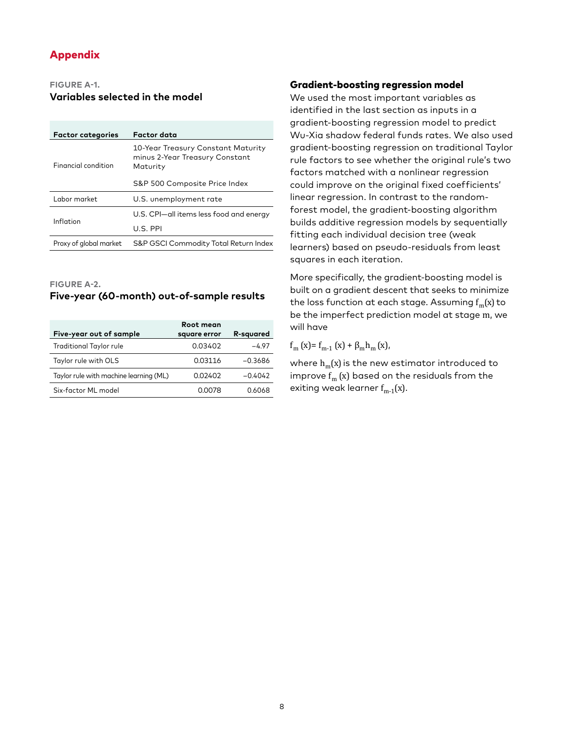# Appendix

#### **FIGURE A-1.**

### **Variables selected in the model**

| <b>Factor categories</b>   | Factor data                                                                      |  |
|----------------------------|----------------------------------------------------------------------------------|--|
| <b>Financial condition</b> | 10-Year Treasury Constant Maturity<br>minus 2-Year Treasury Constant<br>Maturity |  |
|                            | S&P 500 Composite Price Index                                                    |  |
| Labor market               | U.S. unemployment rate                                                           |  |
|                            | U.S. CPI-all items less food and energy                                          |  |
| Inflation                  | U.S. PPI                                                                         |  |
| Proxy of global market     | S&P GSCI Commodity Total Return Index                                            |  |

**FIGURE A-2.**

# **Five-year (60-month) out-of-sample results**

|                                        | Root mean    |                  |
|----------------------------------------|--------------|------------------|
| Five-year out of sample                | square error | <b>R-squared</b> |
| Traditional Taylor rule                | 0.03402      | -4.97            |
| Taylor rule with OLS                   | 0.03116      | $-0.3686$        |
| Taylor rule with machine learning (ML) | 0.02402      | $-0.4042$        |
| Six-factor ML model                    | 0.0078       | 0.6068           |

### Gradient-boosting regression model

We used the most important variables as identified in the last section as inputs in a gradient-boosting regression model to predict Wu-Xia shadow federal funds rates. We also used gradient-boosting regression on traditional Taylor rule factors to see whether the original rule's two factors matched with a nonlinear regression could improve on the original fixed coefficients' linear regression. In contrast to the randomforest model, the gradient-boosting algorithm builds additive regression models by sequentially fitting each individual decision tree (weak learners) based on pseudo-residuals from least squares in each iteration.

More specifically, the gradient-boosting model is built on a gradient descent that seeks to minimize the loss function at each stage. Assuming  $f_m(x)$  to be the imperfect prediction model at stage m, we will have

f<sub>m</sub> (x)= f<sub>m-1</sub> (x) + β<sub>m</sub>h<sub>m</sub> (x),

where  $h_m(x)$  is the new estimator introduced to improve  $f_m(x)$  based on the residuals from the exiting weak learner  $f_{m-1}(x)$ .